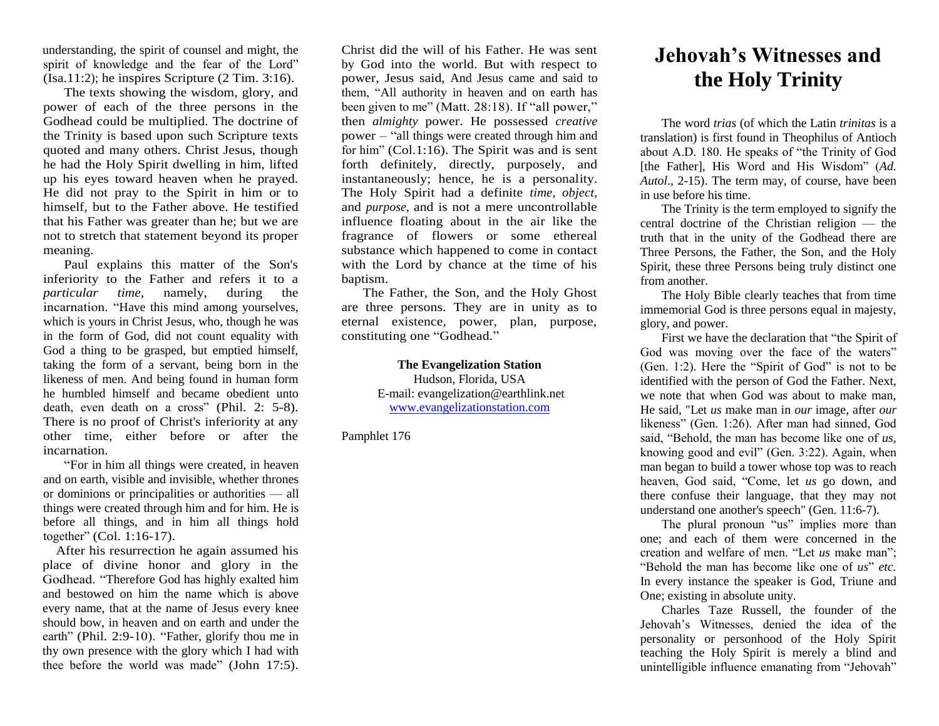understanding, the spirit of counsel and might, the spirit of knowledge and the fear of the Lord"  $(Sa.11:2)$ ; he inspires Scripture  $(2 \text{ Tim. } 3:16)$ .

The texts showing the wisdom, glory, and power of each of the three persons in the Godhead could be multiplied. The doctrine of the Trinity is based upon such Scripture texts quoted and many others. Christ Jesus, though he had the Holy Spirit dwelling in him, lifted up his eyes toward heaven when he prayed. He did not pray to the Spirit in him or to himself, but to the Father above. He testified that his Father was greater than he; but we are not to stretch that statement beyond its proper meaning.

Paul explains this matter of the Son's inferiority to the Father and refers it to a<br>particular time, namely, during the *particular time,* namely, during the incarnation. "Have this mind among yourselves, which is yours in Christ Jesus, who, though he was in the form of God, did not count equality with God a thing to be grasped, but emptied himself, taking the form of a servant, being born in the likeness of men. And being found in human form he humbled himself and became obedient unto death, even death on a cross" (Phil. 2: 5-8). There is no proof of Christ's inferiority at any other time, either before or after the incarnation.

"For in him all things were created, in heaven and on earth, visible and invisible, whether thrones or dominions or principalities or authorities — all things were created through him and for him. He is before all things, and in him all things hold together" (Col. 1:16-17).

After his resurrection he again assumed his place of divine honor and glory in the Godhead. "Therefore God has highly exalted him and bestowed on him the name which is above every name, that at the name of Jesus every knee should bow, in heaven and on earth and under the earth" (Phil. 2:9-10). "Father, glorify thou me in thy own presence with the glory which I had with thee before the world was made" (John 17:5).

Christ did the will of his Father. He was sent by God into the world. But with respect to power, Jesus said, And Jesus came and said to them, "All authority in heaven and on earth has been given to me" (Matt. 28:18). If "all power," then *almighty* power. He possessed *creative*  power – "all things were created through him and for him" (Col.1:16). The Spirit was and is sent forth definitely, directly, purposely, and instantaneously; hence, he is a personality. The Holy Spirit had a definite *time, object,*  and *purpose,* and is not a mere uncontrollable influence floating about in the air like the fragrance of flowers or some ethereal substance which happened to come in contact with the Lord by chance at the time of his baptism.

The Father, the Son, and the Holy Ghost are three persons. They are in unity as to eternal existence, power, plan, purpose, constituting one "Godhead."

> **The Evangelization Station** Hudson, Florida, USA E-mail: evangelization@earthlink.net [www.evangelizationstation.com](http://www.pjpiisoe.org/)

Pamphlet 176

## **Jehovah's Witnesses and the Holy Trinity**

The word *trias* (of which the Latin *trinitas* is a translation) is first found in Theophilus of Antioch about A.D. 180. He speaks of "the Trinity of God [the Father], His Word and His Wisdom" (*Ad. Autol*., 2-15). The term may, of course, have been in use before his time.

The Trinity is the term employed to signify the central doctrine of the Christian religion — the truth that in the unity of the Godhead there are Three Persons, the Father, the Son, and the Holy Spirit, these three Persons being truly distinct one from another.

The Holy Bible clearly teaches that from time immemorial God is three persons equal in majesty, glory, and power.

First we have the declaration that "the Spirit of God was moving over the face of the waters" (Gen. 1:2). Here the "Spirit of God" is not to be identified with the person of God the Father. Next, we note that when God was about to make man, He said, "Let *us* make man in *our* image, after *our* likeness" (Gen. 1:26). After man had sinned, God said, "Behold, the man has become like one of *us*, knowing good and evil" (Gen. 3:22). Again, when man began to build a tower whose top was to reach heaven, God said, "Come, let *us* go down, and there confuse their language, that they may not understand one another's speech" (Gen. 11:6-7).

The plural pronoun "us" implies more than one; and each of them were concerned in the creation and welfare of men. "Let *us* make man"; "Behold the man has become like one of *us*" *etc.*  In every instance the speaker is God, Triune and One; existing in absolute unity.

Charles Taze Russell, the founder of the Jehovah's Witnesses, denied the idea of the personality or personhood of the Holy Spirit teaching the Holy Spirit is merely a blind and unintelligible influence emanating from "Jehovah"